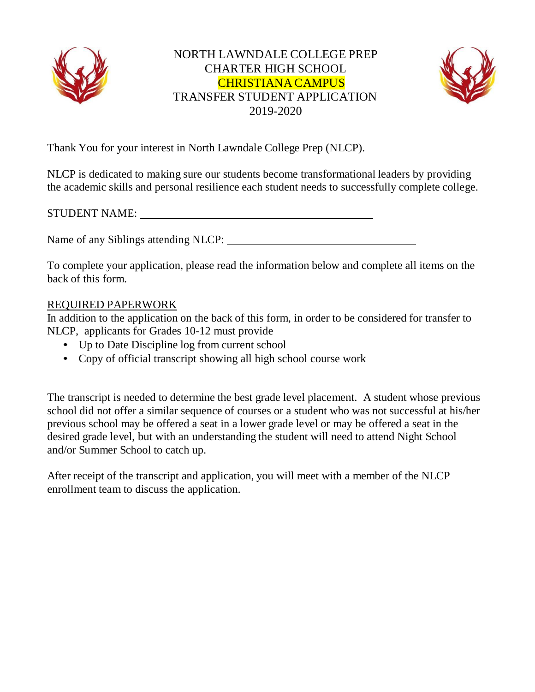



Thank You for your interest in North Lawndale College Prep (NLCP).

NLCP is dedicated to making sure our students become transformational leaders by providing the academic skills and personal resilience each student needs to successfully complete college.

STUDENT NAME:

Name of any Siblings attending NLCP:

To complete your application, please read the information below and complete all items on the back of this form.

## REQUIRED PAPERWORK

In addition to the application on the back of this form, in order to be considered for transfer to NLCP, applicants for Grades 10-12 must provide

- Up to Date Discipline log from current school
- Copy of official transcript showing all high school course work

The transcript is needed to determine the best grade level placement. A student whose previous school did not offer a similar sequence of courses or a student who was not successful at his/her previous school may be offered a seat in a lower grade level or may be offered a seat in the desired grade level, but with an understanding the student will need to attend Night School and/or Summer School to catch up.

After receipt of the transcript and application, you will meet with a member of the NLCP enrollment team to discuss the application.